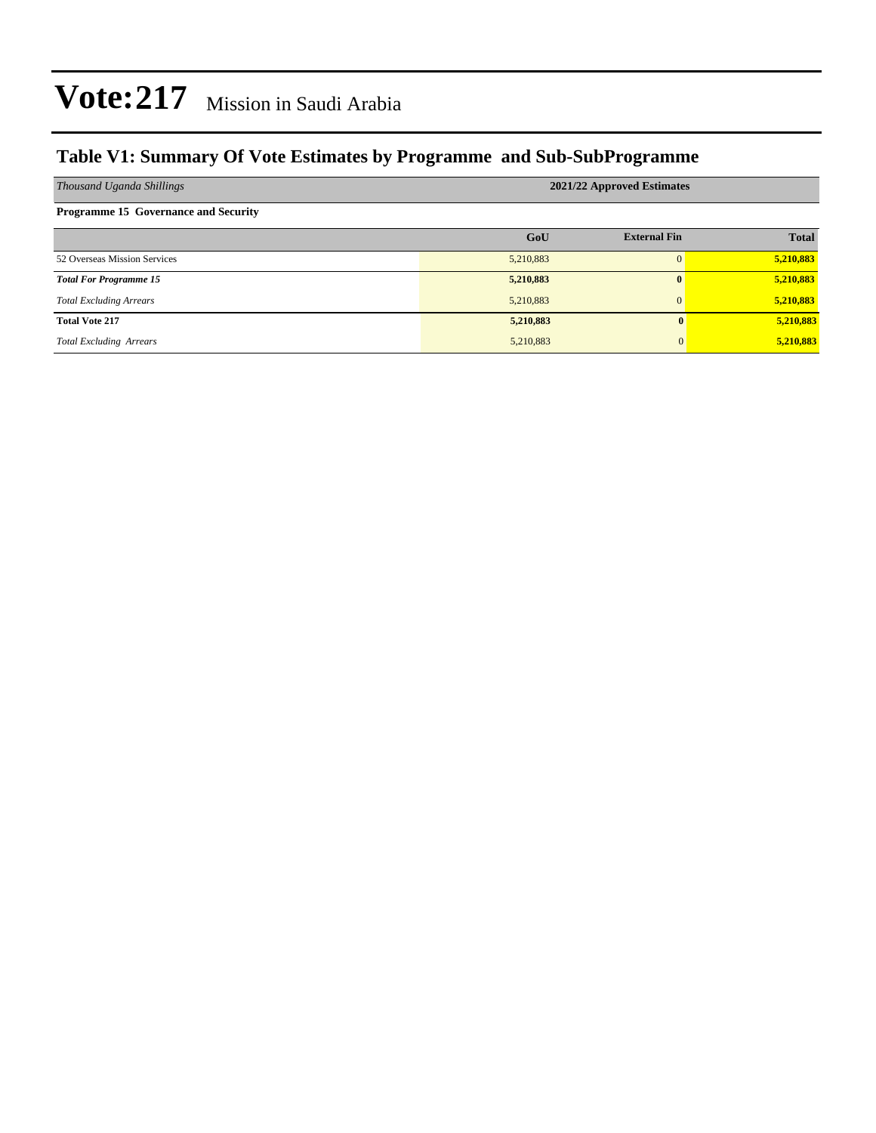#### **Table V1: Summary Of Vote Estimates by Programme and Sub-SubProgramme**

| Thousand Uganda Shillings                   | 2021/22 Approved Estimates |                     |              |  |  |  |  |
|---------------------------------------------|----------------------------|---------------------|--------------|--|--|--|--|
| <b>Programme 15 Governance and Security</b> |                            |                     |              |  |  |  |  |
|                                             | GoU                        | <b>External Fin</b> | <b>Total</b> |  |  |  |  |
| 52 Overseas Mission Services                | 5,210,883                  | $\Omega$            | 5,210,883    |  |  |  |  |
| <b>Total For Programme 15</b>               | 5,210,883                  | $\mathbf{0}$        | 5,210,883    |  |  |  |  |
| <b>Total Excluding Arrears</b>              | 5,210,883                  | $\mathbf{0}$        | 5,210,883    |  |  |  |  |
| <b>Total Vote 217</b>                       | 5,210,883                  | 0                   | 5,210,883    |  |  |  |  |
| <b>Total Excluding Arrears</b>              | 5,210,883                  | $\mathbf{0}$        | 5,210,883    |  |  |  |  |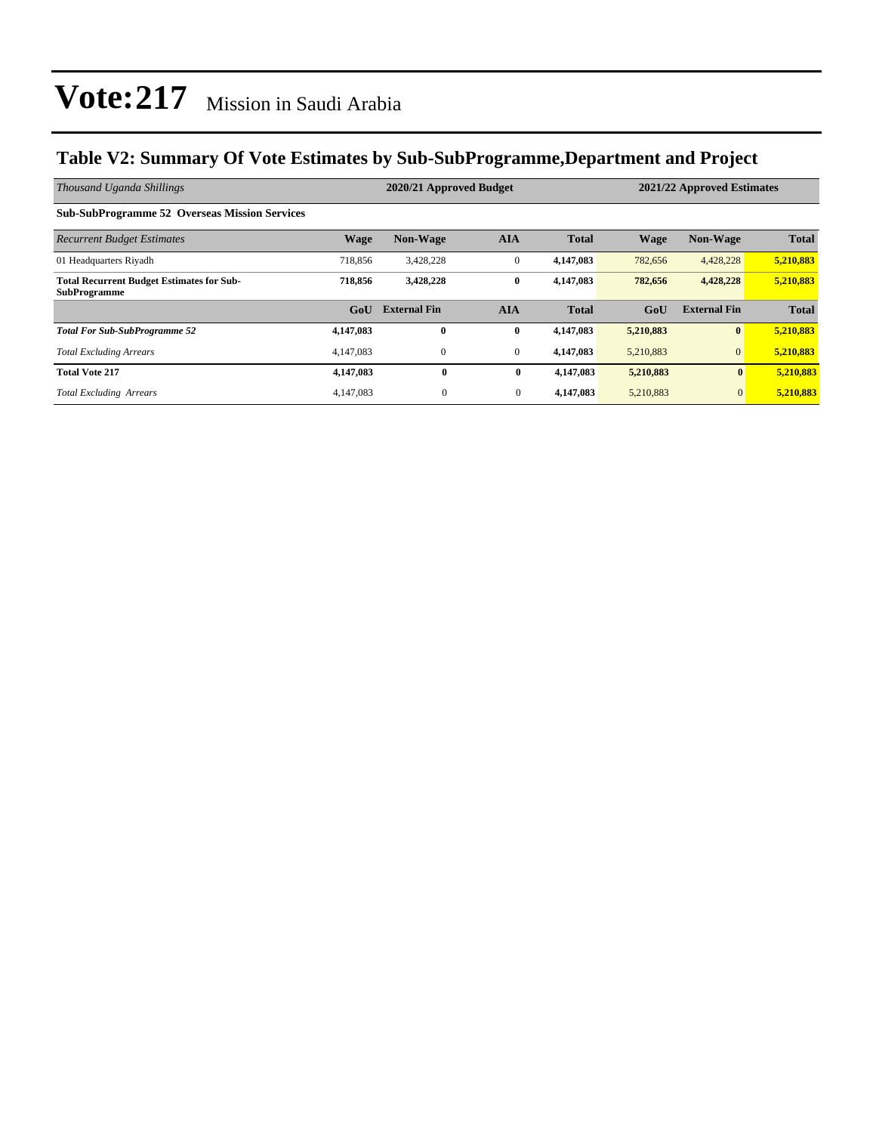#### **Table V2: Summary Of Vote Estimates by Sub-SubProgramme,Department and Project**

| Thousand Uganda Shillings                                               |             | 2020/21 Approved Budget |                |              | 2021/22 Approved Estimates |                     |              |  |
|-------------------------------------------------------------------------|-------------|-------------------------|----------------|--------------|----------------------------|---------------------|--------------|--|
| <b>Sub-SubProgramme 52 Overseas Mission Services</b>                    |             |                         |                |              |                            |                     |              |  |
| <b>Recurrent Budget Estimates</b>                                       | <b>Wage</b> | <b>Non-Wage</b>         | <b>AIA</b>     | <b>Total</b> | <b>Wage</b>                | Non-Wage            | <b>Total</b> |  |
| 01 Headquarters Riyadh                                                  | 718,856     | 3,428,228               | $\mathbf{0}$   | 4,147,083    | 782,656                    | 4,428,228           | 5,210,883    |  |
| <b>Total Recurrent Budget Estimates for Sub-</b><br><b>SubProgramme</b> | 718,856     | 3,428,228               | $\bf{0}$       | 4,147,083    | 782,656                    | 4,428,228           | 5,210,883    |  |
|                                                                         | GoU         | <b>External Fin</b>     | <b>AIA</b>     | <b>Total</b> | GoU                        | <b>External Fin</b> | <b>Total</b> |  |
| <b>Total For Sub-SubProgramme 52</b>                                    | 4,147,083   | $\bf{0}$                | $\bf{0}$       | 4,147,083    | 5,210,883                  | $\bf{0}$            | 5,210,883    |  |
| <b>Total Excluding Arrears</b>                                          | 4,147,083   | $\mathbf{0}$            | $\overline{0}$ | 4,147,083    | 5,210,883                  | $\overline{0}$      | 5,210,883    |  |
| <b>Total Vote 217</b>                                                   | 4,147,083   | $\bf{0}$                | $\bf{0}$       | 4,147,083    | 5,210,883                  | $\mathbf{0}$        | 5,210,883    |  |
| <b>Total Excluding Arrears</b>                                          | 4.147.083   | $\overline{0}$          | $\overline{0}$ | 4,147,083    | 5,210,883                  | $\mathbf{0}$        | 5,210,883    |  |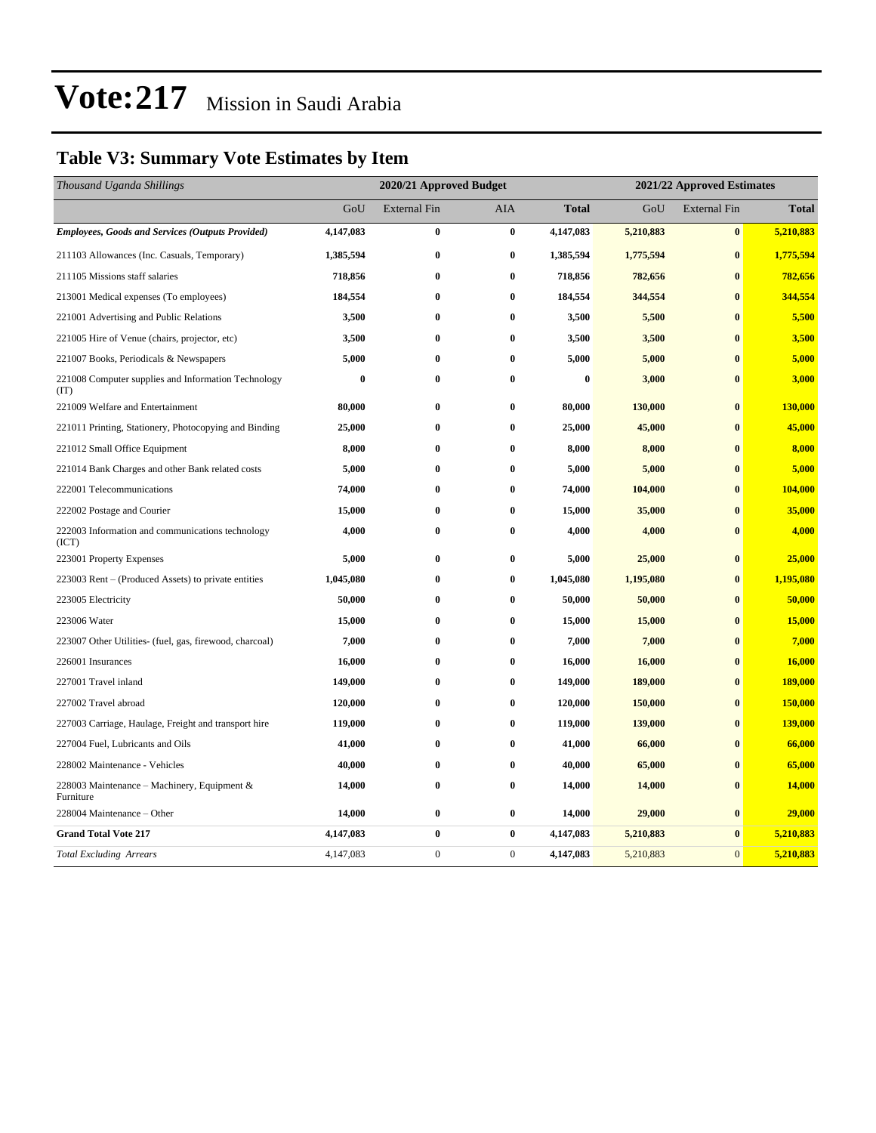#### **Table V3: Summary Vote Estimates by Item**

| Thousand Uganda Shillings                                   | 2020/21 Approved Budget |                     |                  |              | 2021/22 Approved Estimates |                     |              |  |
|-------------------------------------------------------------|-------------------------|---------------------|------------------|--------------|----------------------------|---------------------|--------------|--|
|                                                             | GoU                     | <b>External Fin</b> | AIA              | <b>Total</b> | GoU                        | <b>External Fin</b> | <b>Total</b> |  |
| <b>Employees, Goods and Services (Outputs Provided)</b>     | 4,147,083               | 0                   | $\bf{0}$         | 4,147,083    | 5,210,883                  | $\bf{0}$            | 5,210,883    |  |
| 211103 Allowances (Inc. Casuals, Temporary)                 | 1,385,594               | $\boldsymbol{0}$    | $\bf{0}$         | 1,385,594    | 1,775,594                  | $\bf{0}$            | 1,775,594    |  |
| 211105 Missions staff salaries                              | 718,856                 | 0                   | $\bf{0}$         | 718,856      | 782,656                    | $\bf{0}$            | 782,656      |  |
| 213001 Medical expenses (To employees)                      | 184,554                 | $\bf{0}$            | $\bf{0}$         | 184,554      | 344,554                    | $\mathbf{0}$        | 344,554      |  |
| 221001 Advertising and Public Relations                     | 3,500                   | 0                   | $\bf{0}$         | 3,500        | 5,500                      | $\bf{0}$            | 5,500        |  |
| 221005 Hire of Venue (chairs, projector, etc)               | 3,500                   | 0                   | $\bf{0}$         | 3,500        | 3,500                      | $\bf{0}$            | 3,500        |  |
| 221007 Books, Periodicals & Newspapers                      | 5,000                   | 0                   | $\bf{0}$         | 5,000        | 5,000                      | $\bf{0}$            | 5,000        |  |
| 221008 Computer supplies and Information Technology<br>(TT) | $\bf{0}$                | $\bf{0}$            | $\bf{0}$         | $\bf{0}$     | 3,000                      | $\bf{0}$            | 3,000        |  |
| 221009 Welfare and Entertainment                            | 80,000                  | $\bf{0}$            | $\bf{0}$         | 80,000       | 130,000                    | $\bf{0}$            | 130,000      |  |
| 221011 Printing, Stationery, Photocopying and Binding       | 25,000                  | 0                   | $\bf{0}$         | 25,000       | 45,000                     | $\bf{0}$            | 45,000       |  |
| 221012 Small Office Equipment                               | 8,000                   | 0                   | $\bf{0}$         | 8,000        | 8,000                      | $\bf{0}$            | 8,000        |  |
| 221014 Bank Charges and other Bank related costs            | 5,000                   | 0                   | $\bf{0}$         | 5,000        | 5,000                      | $\bf{0}$            | 5,000        |  |
| 222001 Telecommunications                                   | 74,000                  | 0                   | $\bf{0}$         | 74,000       | 104,000                    | $\bf{0}$            | 104,000      |  |
| 222002 Postage and Courier                                  | 15,000                  | $\bf{0}$            | $\bf{0}$         | 15,000       | 35,000                     | $\mathbf{0}$        | 35,000       |  |
| 222003 Information and communications technology<br>(ICT)   | 4,000                   | 0                   | $\bf{0}$         | 4,000        | 4,000                      | $\bf{0}$            | 4,000        |  |
| 223001 Property Expenses                                    | 5,000                   | 0                   | $\bf{0}$         | 5,000        | 25,000                     | $\bf{0}$            | 25,000       |  |
| 223003 Rent – (Produced Assets) to private entities         | 1,045,080               | 0                   | $\bf{0}$         | 1,045,080    | 1,195,080                  | $\bf{0}$            | 1,195,080    |  |
| 223005 Electricity                                          | 50,000                  | 0                   | $\bf{0}$         | 50,000       | 50,000                     | $\bf{0}$            | 50,000       |  |
| 223006 Water                                                | 15,000                  | $\bf{0}$            | $\bf{0}$         | 15,000       | 15,000                     | $\mathbf{0}$        | 15,000       |  |
| 223007 Other Utilities- (fuel, gas, firewood, charcoal)     | 7,000                   | 0                   | $\bf{0}$         | 7,000        | 7,000                      | $\bf{0}$            | 7,000        |  |
| 226001 Insurances                                           | 16,000                  | 0                   | $\bf{0}$         | 16,000       | 16,000                     | $\bf{0}$            | 16,000       |  |
| 227001 Travel inland                                        | 149,000                 | 0                   | $\bf{0}$         | 149,000      | 189,000                    | $\bf{0}$            | 189,000      |  |
| 227002 Travel abroad                                        | 120,000                 | 0                   | $\bf{0}$         | 120,000      | 150,000                    | $\bf{0}$            | 150,000      |  |
| 227003 Carriage, Haulage, Freight and transport hire        | 119,000                 | 0                   | $\bf{0}$         | 119,000      | 139,000                    | $\mathbf{0}$        | 139,000      |  |
| 227004 Fuel, Lubricants and Oils                            | 41,000                  | 0                   | $\bf{0}$         | 41,000       | 66,000                     | $\bf{0}$            | 66,000       |  |
| 228002 Maintenance - Vehicles                               | 40,000                  | 0                   | $\bf{0}$         | 40,000       | 65,000                     | $\bf{0}$            | 65,000       |  |
| 228003 Maintenance – Machinery, Equipment &<br>Furniture    | 14,000                  | 0                   | $\bf{0}$         | 14,000       | 14,000                     | $\bf{0}$            | 14,000       |  |
| 228004 Maintenance – Other                                  | 14,000                  | 0                   | $\bf{0}$         | 14,000       | 29,000                     | $\bf{0}$            | 29,000       |  |
| <b>Grand Total Vote 217</b>                                 | 4,147,083               | 0                   | $\bf{0}$         | 4,147,083    | 5,210,883                  | $\bf{0}$            | 5,210,883    |  |
| <b>Total Excluding Arrears</b>                              | 4,147,083               | $\overline{0}$      | $\boldsymbol{0}$ | 4,147,083    | 5,210,883                  | $\overline{0}$      | 5,210,883    |  |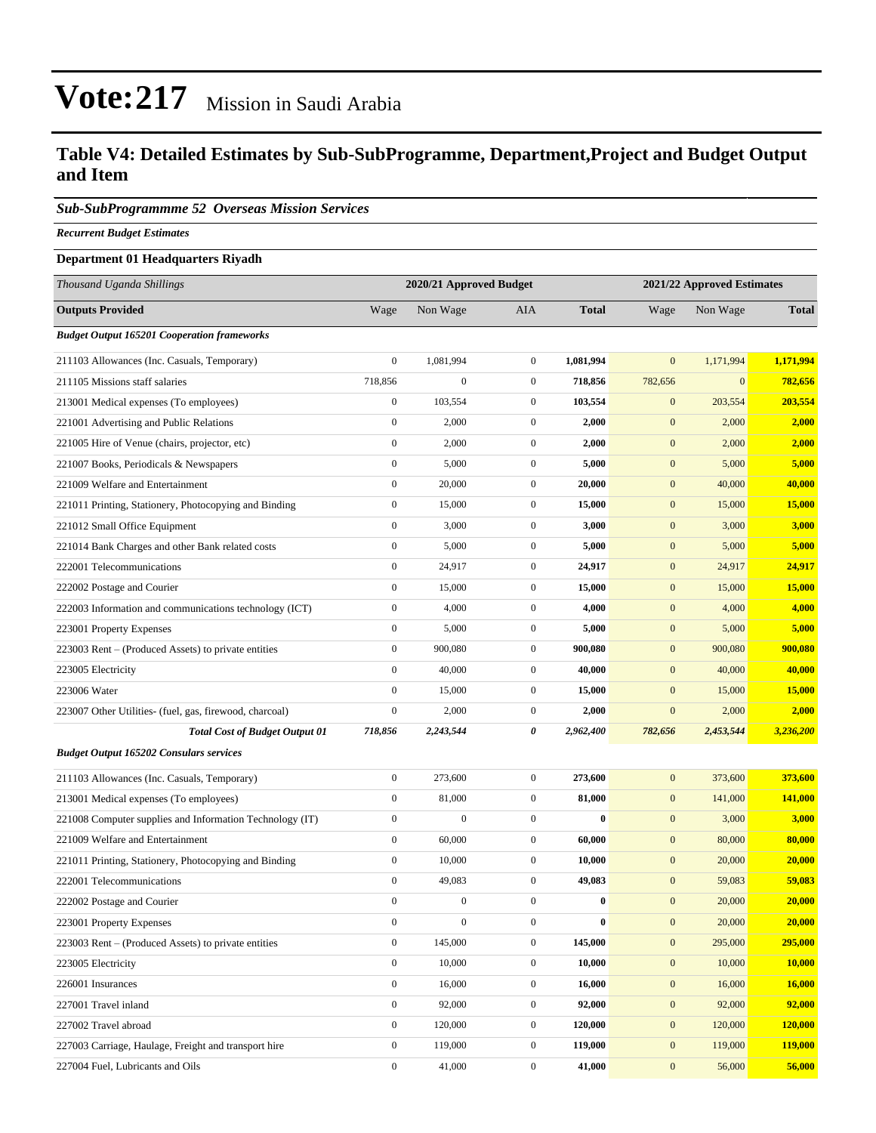#### **Table V4: Detailed Estimates by Sub-SubProgramme, Department,Project and Budget Output and Item**

#### *Sub-SubProgrammme 52 Overseas Mission Services*

*Recurrent Budget Estimates*

#### **Department 01 Headquarters Riyadh**

| Thousand Uganda Shillings                                |                  | 2020/21 Approved Budget |                  |              | 2021/22 Approved Estimates |              |                |
|----------------------------------------------------------|------------------|-------------------------|------------------|--------------|----------------------------|--------------|----------------|
| <b>Outputs Provided</b>                                  | Wage             | Non Wage                | AIA              | <b>Total</b> | Wage                       | Non Wage     | <b>Total</b>   |
| <b>Budget Output 165201 Cooperation frameworks</b>       |                  |                         |                  |              |                            |              |                |
| 211103 Allowances (Inc. Casuals, Temporary)              | $\boldsymbol{0}$ | 1,081,994               | $\overline{0}$   | 1,081,994    | $\mathbf{0}$               | 1,171,994    | 1,171,994      |
| 211105 Missions staff salaries                           | 718,856          | $\boldsymbol{0}$        | $\mathbf{0}$     | 718,856      | 782,656                    | $\mathbf{0}$ | 782,656        |
| 213001 Medical expenses (To employees)                   | $\boldsymbol{0}$ | 103,554                 | $\mathbf{0}$     | 103,554      | $\mathbf{0}$               | 203,554      | 203,554        |
| 221001 Advertising and Public Relations                  | $\boldsymbol{0}$ | 2,000                   | $\mathbf{0}$     | 2,000        | $\mathbf{0}$               | 2,000        | 2,000          |
| 221005 Hire of Venue (chairs, projector, etc)            | $\boldsymbol{0}$ | 2,000                   | $\mathbf{0}$     | 2,000        | $\mathbf{0}$               | 2,000        | 2,000          |
| 221007 Books, Periodicals & Newspapers                   | $\boldsymbol{0}$ | 5,000                   | $\overline{0}$   | 5,000        | $\mathbf{0}$               | 5,000        | 5,000          |
| 221009 Welfare and Entertainment                         | $\boldsymbol{0}$ | 20,000                  | $\overline{0}$   | 20,000       | $\mathbf{0}$               | 40,000       | 40,000         |
| 221011 Printing, Stationery, Photocopying and Binding    | $\boldsymbol{0}$ | 15,000                  | $\mathbf{0}$     | 15,000       | $\mathbf{0}$               | 15,000       | 15,000         |
| 221012 Small Office Equipment                            | $\boldsymbol{0}$ | 3,000                   | $\mathbf{0}$     | 3,000        | $\mathbf{0}$               | 3,000        | 3,000          |
| 221014 Bank Charges and other Bank related costs         | $\boldsymbol{0}$ | 5,000                   | $\mathbf{0}$     | 5,000        | $\mathbf{0}$               | 5,000        | 5,000          |
| 222001 Telecommunications                                | $\boldsymbol{0}$ | 24,917                  | $\mathbf{0}$     | 24,917       | $\mathbf{0}$               | 24,917       | 24,917         |
| 222002 Postage and Courier                               | $\boldsymbol{0}$ | 15,000                  | $\boldsymbol{0}$ | 15,000       | $\mathbf{0}$               | 15,000       | 15,000         |
| 222003 Information and communications technology (ICT)   | $\boldsymbol{0}$ | 4,000                   | $\mathbf{0}$     | 4,000        | $\mathbf{0}$               | 4,000        | 4,000          |
| 223001 Property Expenses                                 | $\boldsymbol{0}$ | 5,000                   | $\overline{0}$   | 5,000        | $\mathbf{0}$               | 5,000        | 5,000          |
| 223003 Rent – (Produced Assets) to private entities      | $\boldsymbol{0}$ | 900,080                 | $\mathbf{0}$     | 900,080      | $\mathbf{0}$               | 900,080      | 900,080        |
| 223005 Electricity                                       | $\boldsymbol{0}$ | 40,000                  | $\overline{0}$   | 40,000       | $\mathbf{0}$               | 40,000       | 40,000         |
| 223006 Water                                             | $\boldsymbol{0}$ | 15,000                  | $\boldsymbol{0}$ | 15,000       | $\mathbf{0}$               | 15,000       | 15,000         |
| 223007 Other Utilities- (fuel, gas, firewood, charcoal)  | $\boldsymbol{0}$ | 2,000                   | $\mathbf{0}$     | 2,000        | $\boldsymbol{0}$           | 2,000        | 2,000          |
| <b>Total Cost of Budget Output 01</b>                    | 718,856          | 2,243,544               | 0                | 2,962,400    | 782,656                    | 2,453,544    | 3,236,200      |
| <b>Budget Output 165202 Consulars services</b>           |                  |                         |                  |              |                            |              |                |
| 211103 Allowances (Inc. Casuals, Temporary)              | $\boldsymbol{0}$ | 273,600                 | $\boldsymbol{0}$ | 273,600      | $\mathbf{0}$               | 373,600      | 373,600        |
| 213001 Medical expenses (To employees)                   | $\boldsymbol{0}$ | 81,000                  | $\mathbf{0}$     | 81,000       | $\mathbf{0}$               | 141,000      | 141,000        |
| 221008 Computer supplies and Information Technology (IT) | $\boldsymbol{0}$ | $\boldsymbol{0}$        | $\boldsymbol{0}$ | $\bf{0}$     | $\mathbf{0}$               | 3,000        | 3,000          |
| 221009 Welfare and Entertainment                         | $\boldsymbol{0}$ | 60,000                  | $\mathbf{0}$     | 60,000       | $\mathbf{0}$               | 80,000       | 80,000         |
| 221011 Printing, Stationery, Photocopying and Binding    | $\boldsymbol{0}$ | 10,000                  | $\overline{0}$   | 10,000       | $\mathbf{0}$               | 20,000       | 20,000         |
| 222001 Telecommunications                                | $\boldsymbol{0}$ | 49,083                  | $\mathbf{0}$     | 49,083       | $\mathbf{0}$               | 59,083       | 59,083         |
| 222002 Postage and Courier                               | $\boldsymbol{0}$ | $\boldsymbol{0}$        | $\boldsymbol{0}$ | $\bf{0}$     | $\mathbf{0}$               | 20,000       | 20,000         |
| 223001 Property Expenses                                 | $\boldsymbol{0}$ | $\boldsymbol{0}$        | $\boldsymbol{0}$ | $\bf{0}$     | $\boldsymbol{0}$           | 20,000       | 20,000         |
| 223003 Rent – (Produced Assets) to private entities      | $\mathbf{0}$     | 145,000                 | $\boldsymbol{0}$ | 145,000      | $\mathbf{0}$               | 295,000      | 295,000        |
| 223005 Electricity                                       | $\boldsymbol{0}$ | 10,000                  | $\boldsymbol{0}$ | 10,000       | $\boldsymbol{0}$           | 10,000       | <b>10,000</b>  |
| 226001 Insurances                                        | $\boldsymbol{0}$ | 16,000                  | $\boldsymbol{0}$ | 16,000       | $\mathbf{0}$               | 16,000       | 16,000         |
| 227001 Travel inland                                     | $\boldsymbol{0}$ | 92,000                  | $\boldsymbol{0}$ | 92,000       | $\mathbf{0}$               | 92,000       | 92,000         |
| 227002 Travel abroad                                     | $\boldsymbol{0}$ | 120,000                 | $\boldsymbol{0}$ | 120,000      | $\mathbf{0}$               | 120,000      | 120,000        |
| 227003 Carriage, Haulage, Freight and transport hire     | $\boldsymbol{0}$ | 119,000                 | $\boldsymbol{0}$ | 119,000      | $\mathbf{0}$               | 119,000      | <b>119,000</b> |
| 227004 Fuel, Lubricants and Oils                         | $\boldsymbol{0}$ | 41,000                  | $\boldsymbol{0}$ | 41,000       | $\bf{0}$                   | 56,000       | 56,000         |